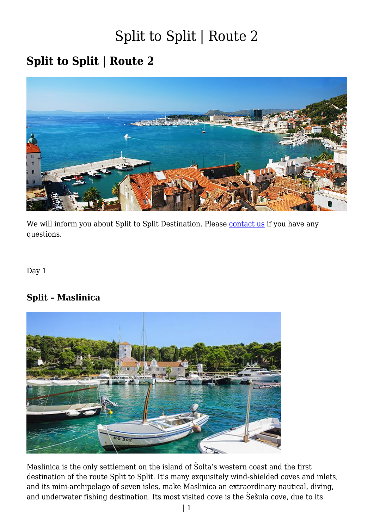#### **Split to Split | Route 2**



We will inform you about Split to Split Destination. Please [contact us](https://www.guletbroker.com/contact/) if you have any questions.

Day 1

#### **Split – Maslinica**



Maslinica is the only settlement on the island of Šolta's western coast and the first destination of the route Split to Split. It's many exquisitely wind-shielded coves and inlets, and its mini-archipelago of seven isles, make Maslinica an extraordinary nautical, diving, and underwater fishing destination. Its most visited cove is the Šešula cove, due to its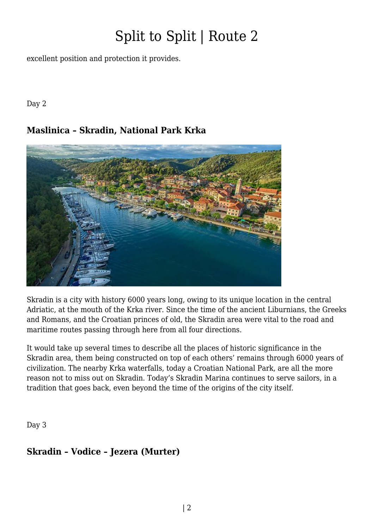excellent position and protection it provides.

Day 2

#### **Maslinica – Skradin, National Park Krka**



Skradin is a city with history 6000 years long, owing to its unique location in the central Adriatic, at the mouth of the Krka river. Since the time of the ancient Liburnians, the Greeks and Romans, and the Croatian princes of old, the Skradin area were vital to the road and maritime routes passing through here from all four directions.

It would take up several times to describe all the places of historic significance in the Skradin area, them being constructed on top of each others' remains through 6000 years of civilization. The nearby Krka waterfalls, today a Croatian National Park, are all the more reason not to miss out on Skradin. Today's Skradin Marina continues to serve sailors, in a tradition that goes back, even beyond the time of the origins of the city itself.

Day 3

#### **Skradin – Vodice – Jezera (Murter)**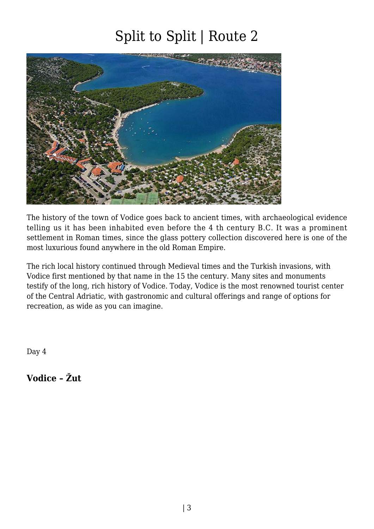

The history of the town of Vodice goes back to ancient times, with archaeological evidence telling us it has been inhabited even before the 4 th century B.C. It was a prominent settlement in Roman times, since the glass pottery collection discovered here is one of the most luxurious found anywhere in the old Roman Empire.

The rich local history continued through Medieval times and the Turkish invasions, with Vodice first mentioned by that name in the 15 the century. Many sites and monuments testify of the long, rich history of Vodice. Today, Vodice is the most renowned tourist center of the Central Adriatic, with gastronomic and cultural offerings and range of options for recreation, as wide as you can imagine.

Day 4

**Vodice – Žut**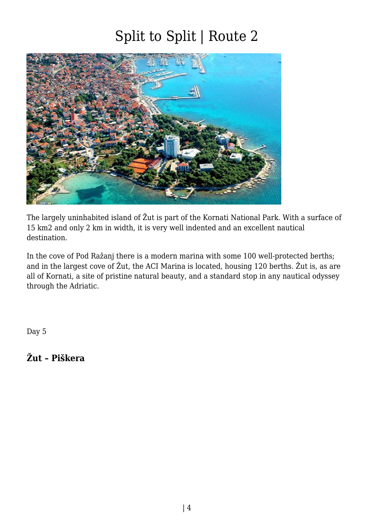

The largely uninhabited island of Žut is part of the Kornati National Park. With a surface of 15 km2 and only 2 km in width, it is very well indented and an excellent nautical destination.

In the cove of Pod Ražanj there is a modern marina with some 100 well-protected berths; and in the largest cove of Žut, the ACI Marina is located, housing 120 berths. Žut is, as are all of Kornati, a site of pristine natural beauty, and a standard stop in any nautical odyssey through the Adriatic.

Day 5

**Žut – Piškera**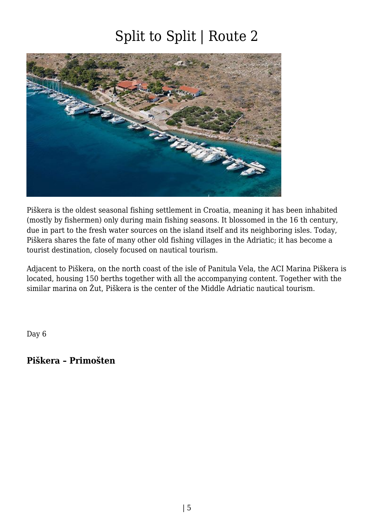

Piškera is the oldest seasonal fishing settlement in Croatia, meaning it has been inhabited (mostly by fishermen) only during main fishing seasons. It blossomed in the 16 th century, due in part to the fresh water sources on the island itself and its neighboring isles. Today, Piškera shares the fate of many other old fishing villages in the Adriatic; it has become a tourist destination, closely focused on nautical tourism.

Adjacent to Piškera, on the north coast of the isle of Panitula Vela, the ACI Marina Piškera is located, housing 150 berths together with all the accompanying content. Together with the similar marina on Žut, Piškera is the center of the Middle Adriatic nautical tourism.

Day 6

#### **Piškera – Primošten**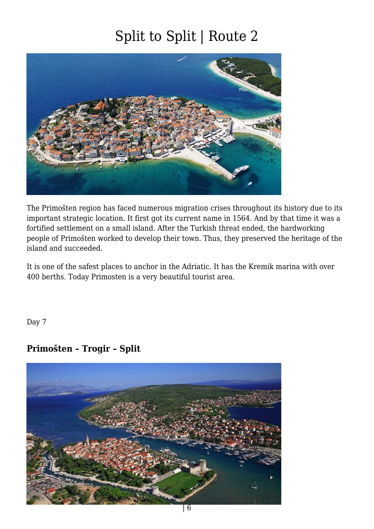

The Primošten region has faced numerous migration crises throughout its history due to its important strategic location. It first got its current name in 1564. And by that time it was a fortified settlement on a small island. After the Turkish threat ended, the hardworking people of Primošten worked to develop their town. Thus, they preserved the heritage of the island and succeeded.

It is one of the safest places to anchor in the Adriatic. It has the Kremik marina with over 400 berths. Today Primosten is a very beautiful tourist area.

Day 7

#### **Primošten – Trogir – Split**

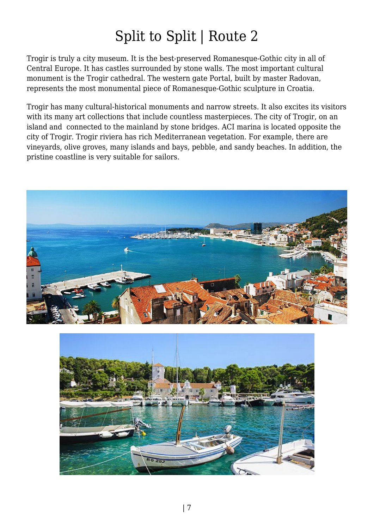Trogir is truly a city museum. It is the best-preserved Romanesque-Gothic city in all of Central Europe. It has castles surrounded by stone walls. The most important cultural monument is the Trogir cathedral. The western gate Portal, built by master Radovan, represents the most monumental piece of Romanesque-Gothic sculpture in Croatia.

Trogir has many cultural-historical monuments and narrow streets. It also excites its visitors with its many art collections that include countless masterpieces. The city of Trogir, on an island and connected to the mainland by stone bridges. ACI marina is located opposite the city of Trogir. Trogir riviera has rich Mediterranean vegetation. For example, there are vineyards, olive groves, many islands and bays, pebble, and sandy beaches. In addition, the pristine coastline is very suitable for sailors.



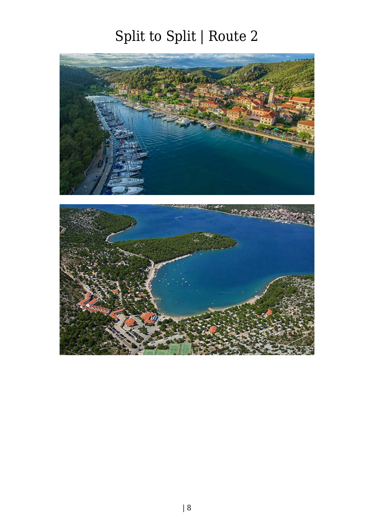

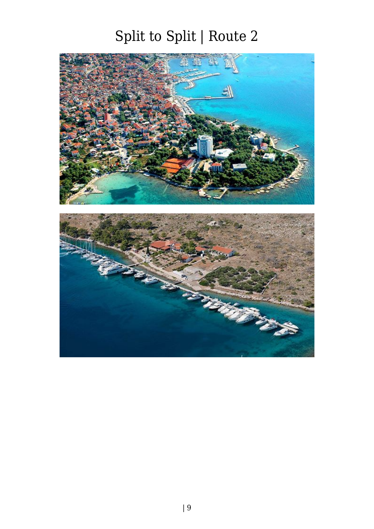